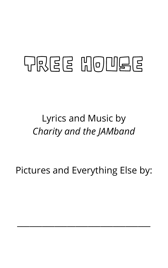Lyrics and Music by *Charity and the JAMband*

## Pictures and Everything Else by:

 $\mathcal{L}_\text{max}$  and  $\mathcal{L}_\text{max}$  and  $\mathcal{L}_\text{max}$  and  $\mathcal{L}_\text{max}$  and  $\mathcal{L}_\text{max}$ 

## TREE HOUSE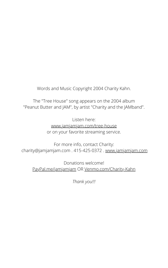Words and Music Copyright 2004 Charity Kahn.

The "Tree House" song appears on the 2004 album "Peanut Butter and JAM" , by artist "Charity and the JAMband".

> Listen here: [www.jamjamjam.com/tree-house](http://www.jamjamjam.com/tree-house) or on your favorite streaming service.

## For more info, contact Charity: charity@jamjamjam.com . 415-425-0372 . [www.jamjamjam.com](http://www.jamjamjam.com/)

Donations welcome! [PayPal.me/jamjamjam](http://www.paypal.me/jamjamjam) OR [Venmo.com/Charity-Kahn](http://www.venmo.com/Charity-Kahn)

*Thank you!!!*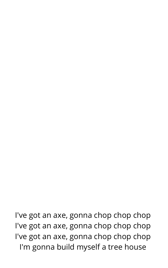I've got an axe, gonna chop chop chop I've got an axe, gonna chop chop chop I've got an axe, gonna chop chop chop I'm gonna build myself a tree house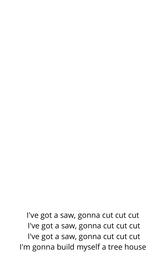I've got a saw, gonna cut cut cut I've got a saw, gonna cut cut cut I've got a saw, gonna cut cut cut I'm gonna build myself a tree house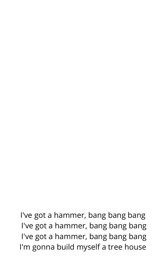I've got a hammer, bang bang bang I've got a hammer, bang bang bang I've got a hammer, bang bang bang I'm gonna build myself a tree house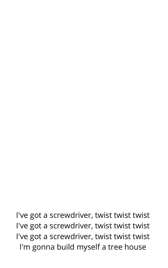I've got a screwdriver, twist twist twist I've got a screwdriver, twist twist twist I've got a screwdriver, twist twist twist I'm gonna build myself a tree house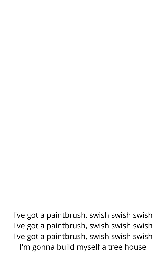I've got a paintbrush, swish swish swish I've got a paintbrush, swish swish swish I've got a paintbrush, swish swish swish I'm gonna build myself a tree house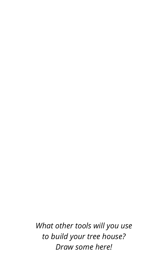*What other tools will you use to build your tree house? Draw some here!*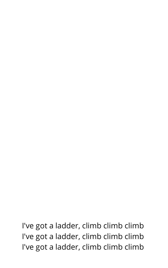I've got a ladder, climb climb climb I've got a ladder, climb climb climb I've got a ladder, climb climb climb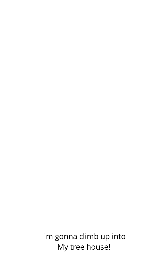I'm gonna climb up into My tree house!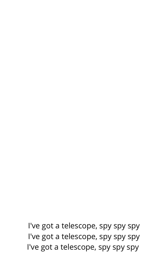I've got a telescope, spy spy spy I've got a telescope, spy spy spy I've got a telescope, spy spy spy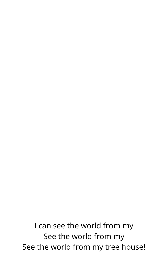I can see the world from my See the world from my See the world from my tree house!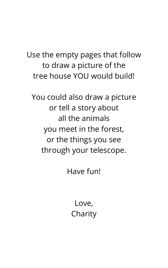Use the empty pages that follow to draw a picture of the tree house YOU would build!

You could also draw a picture or tell a story about all the animals you meet in the forest, or the things you see

## through your telescope.

Have fun!

Love, Charity